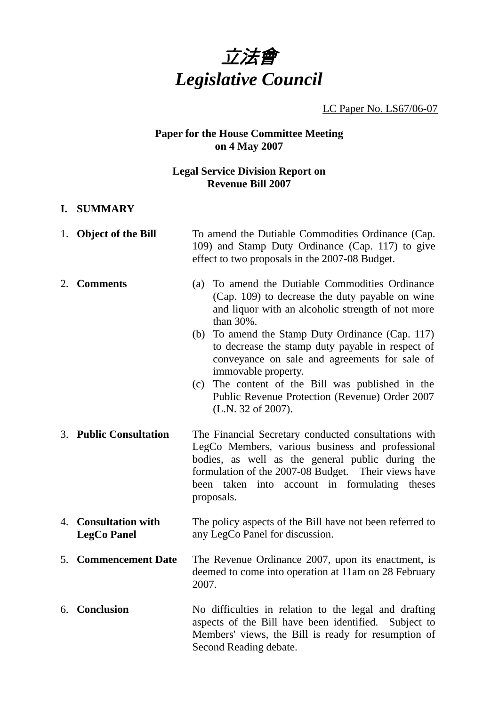

LC Paper No. LS67/06-07

# **Paper for the House Committee Meeting on 4 May 2007**

## **Legal Service Division Report on Revenue Bill 2007**

### **I. SUMMARY**

|    | 1. Object of the Bill                      | To amend the Dutiable Commodities Ordinance (Cap.<br>109) and Stamp Duty Ordinance (Cap. 117) to give<br>effect to two proposals in the 2007-08 Budget.                                                                                                                            |
|----|--------------------------------------------|------------------------------------------------------------------------------------------------------------------------------------------------------------------------------------------------------------------------------------------------------------------------------------|
|    | 2. Comments                                | To amend the Dutiable Commodities Ordinance<br>(a)<br>(Cap. 109) to decrease the duty payable on wine<br>and liquor with an alcoholic strength of not more<br>than 30%.                                                                                                            |
|    |                                            | To amend the Stamp Duty Ordinance (Cap. 117)<br>(b)<br>to decrease the stamp duty payable in respect of<br>conveyance on sale and agreements for sale of<br>immovable property.                                                                                                    |
|    |                                            | The content of the Bill was published in the<br>(c)<br>Public Revenue Protection (Revenue) Order 2007<br>(L.N. 32 of 2007).                                                                                                                                                        |
|    | 3. Public Consultation                     | The Financial Secretary conducted consultations with<br>LegCo Members, various business and professional<br>bodies, as well as the general public during the<br>formulation of the 2007-08 Budget. Their views have<br>been taken into account in formulating theses<br>proposals. |
|    | 4. Consultation with<br><b>LegCo Panel</b> | The policy aspects of the Bill have not been referred to<br>any LegCo Panel for discussion.                                                                                                                                                                                        |
| 5. | <b>Commencement Date</b>                   | The Revenue Ordinance 2007, upon its enactment, is<br>deemed to come into operation at 11am on 28 February<br>2007.                                                                                                                                                                |
|    | 6. Conclusion                              | No difficulties in relation to the legal and drafting<br>aspects of the Bill have been identified. Subject to<br>Members' views, the Bill is ready for resumption of<br>Second Reading debate.                                                                                     |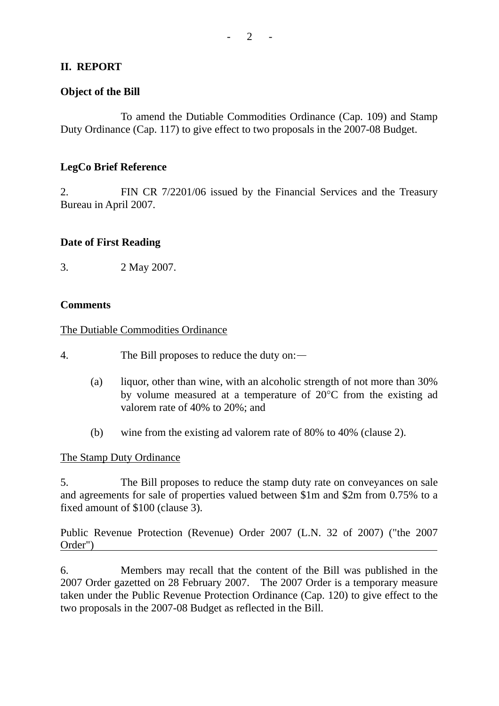## **II. REPORT**

### **Object of the Bill**

1. To amend the Dutiable Commodities Ordinance (Cap. 109) and Stamp Duty Ordinance (Cap. 117) to give effect to two proposals in the 2007-08 Budget.

### **LegCo Brief Reference**

2. FIN CR 7/2201/06 issued by the Financial Services and the Treasury Bureau in April 2007.

### **Date of First Reading**

3. 2 May 2007.

### **Comments**

### The Dutiable Commodities Ordinance

4. The Bill proposes to reduce the duty on:—

- (a) liquor, other than wine, with an alcoholic strength of not more than 30% by volume measured at a temperature of 20°C from the existing ad valorem rate of 40% to 20%; and
- (b) wine from the existing ad valorem rate of 80% to 40% (clause 2).

### The Stamp Duty Ordinance

5. The Bill proposes to reduce the stamp duty rate on conveyances on sale and agreements for sale of properties valued between \$1m and \$2m from 0.75% to a fixed amount of \$100 (clause 3).

Public Revenue Protection (Revenue) Order 2007 (L.N. 32 of 2007) ("the 2007 Order")

6. Members may recall that the content of the Bill was published in the 2007 Order gazetted on 28 February 2007. The 2007 Order is a temporary measure taken under the Public Revenue Protection Ordinance (Cap. 120) to give effect to the two proposals in the 2007-08 Budget as reflected in the Bill.